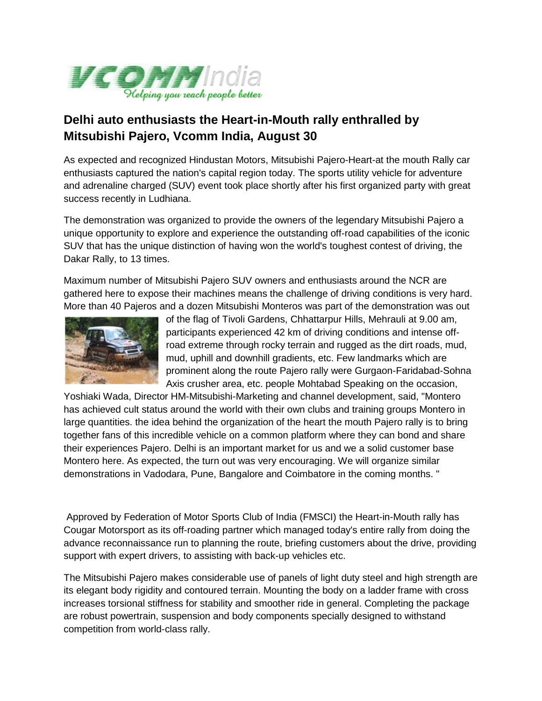

## **Delhi auto enthusiasts the Heart-in-Mouth rally enthralled by Mitsubishi Pajero, Vcomm India, August 30**

As expected and recognized Hindustan Motors, Mitsubishi Pajero-Heart-at the mouth Rally car enthusiasts captured the nation's capital region today. The sports utility vehicle for adventure and adrenaline charged (SUV) event took place shortly after his first organized party with great success recently in Ludhiana.

The demonstration was organized to provide the owners of the legendary Mitsubishi Pajero a unique opportunity to explore and experience the outstanding off-road capabilities of the iconic SUV that has the unique distinction of having won the world's toughest contest of driving, the Dakar Rally, to 13 times.

Maximum number of Mitsubishi Pajero SUV owners and enthusiasts around the NCR are gathered here to expose their machines means the challenge of driving conditions is very hard. More than 40 Pajeros and a dozen Mitsubishi Monteros was part of the demonstration was out



of the flag of Tivoli Gardens, Chhattarpur Hills, Mehrauli at 9.00 am, participants experienced 42 km of driving conditions and intense offroad extreme through rocky terrain and rugged as the dirt roads, mud, mud, uphill and downhill gradients, etc. Few landmarks which are prominent along the route Pajero rally were Gurgaon-Faridabad-Sohna Axis crusher area, etc. people Mohtabad Speaking on the occasion,

Yoshiaki Wada, Director HM-Mitsubishi-Marketing and channel development, said, "Montero has achieved cult status around the world with their own clubs and training groups Montero in large quantities. the idea behind the organization of the heart the mouth Pajero rally is to bring together fans of this incredible vehicle on a common platform where they can bond and share their experiences Pajero. Delhi is an important market for us and we a solid customer base Montero here. As expected, the turn out was very encouraging. We will organize similar demonstrations in Vadodara, Pune, Bangalore and Coimbatore in the coming months. "

Approved by Federation of Motor Sports Club of India (FMSCI) the Heart-in-Mouth rally has Cougar Motorsport as its off-roading partner which managed today's entire rally from doing the advance reconnaissance run to planning the route, briefing customers about the drive, providing support with expert drivers, to assisting with back-up vehicles etc.

The Mitsubishi Pajero makes considerable use of panels of light duty steel and high strength are its elegant body rigidity and contoured terrain. Mounting the body on a ladder frame with cross increases torsional stiffness for stability and smoother ride in general. Completing the package are robust powertrain, suspension and body components specially designed to withstand competition from world-class rally.